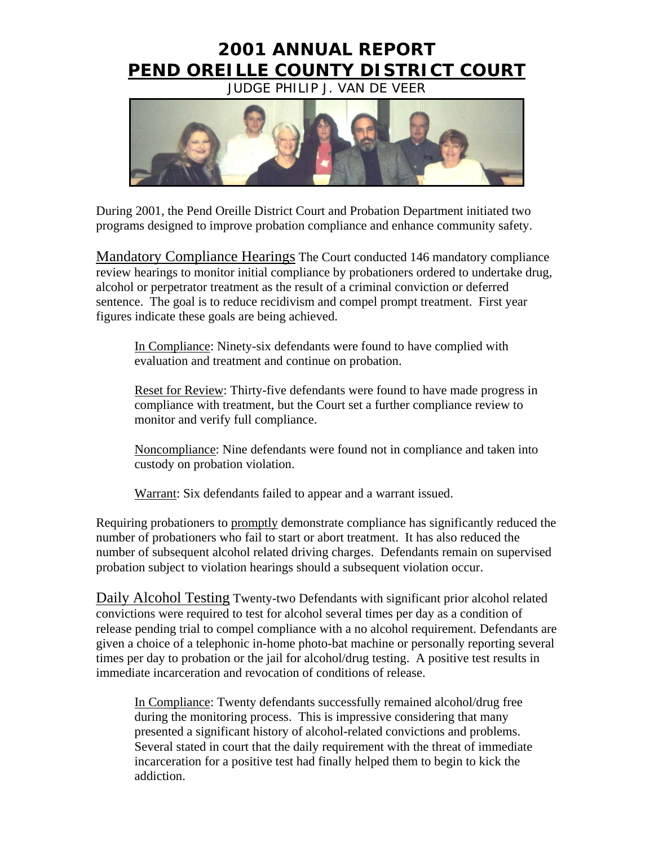# **2001 ANNUAL REPORT PEND OREILLE COUNTY DISTRICT COURT**

JUDGE PHILIP J. VAN DE VEER



During 2001, the Pend Oreille District Court and Probation Department initiated two programs designed to improve probation compliance and enhance community safety.

Mandatory Compliance Hearings The Court conducted 146 mandatory compliance review hearings to monitor initial compliance by probationers ordered to undertake drug, alcohol or perpetrator treatment as the result of a criminal conviction or deferred sentence. The goal is to reduce recidivism and compel prompt treatment. First year figures indicate these goals are being achieved.

In Compliance: Ninety-six defendants were found to have complied with evaluation and treatment and continue on probation.

Reset for Review: Thirty-five defendants were found to have made progress in compliance with treatment, but the Court set a further compliance review to monitor and verify full compliance.

Noncompliance: Nine defendants were found not in compliance and taken into custody on probation violation.

Warrant: Six defendants failed to appear and a warrant issued.

Requiring probationers to promptly demonstrate compliance has significantly reduced the number of probationers who fail to start or abort treatment. It has also reduced the number of subsequent alcohol related driving charges. Defendants remain on supervised probation subject to violation hearings should a subsequent violation occur.

Daily Alcohol Testing Twenty-two Defendants with significant prior alcohol related convictions were required to test for alcohol several times per day as a condition of release pending trial to compel compliance with a no alcohol requirement. Defendants are given a choice of a telephonic in-home photo-bat machine or personally reporting several times per day to probation or the jail for alcohol/drug testing. A positive test results in immediate incarceration and revocation of conditions of release.

In Compliance: Twenty defendants successfully remained alcohol/drug free during the monitoring process. This is impressive considering that many presented a significant history of alcohol-related convictions and problems. Several stated in court that the daily requirement with the threat of immediate incarceration for a positive test had finally helped them to begin to kick the addiction.